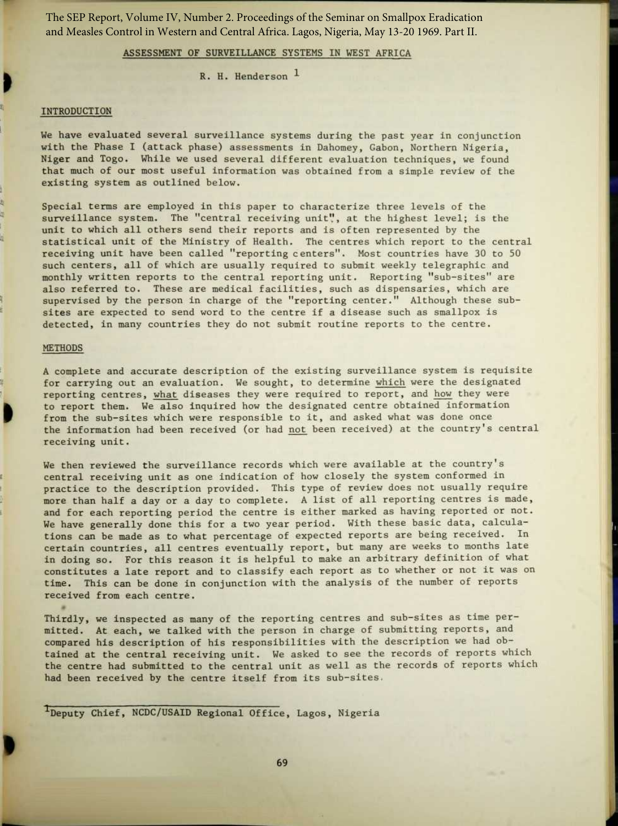The SEP Report, Volume IV, Number 2. Proceedings of the Seminar on Smallpox Eradication and Measles Control in Western and Central Africa. Lagos, Nigeria, May 13-20 1969. Part II.

## ASSESSMENT OF SURVEILLANCE SYSTEMS IN WEST AFRICA

 $R. H.$  Henderson  $<sup>1</sup>$ </sup>

# **INTRODUCTION**

ī

æ

ų

We have evaluated several surveillance systems during the past year in conjunction with the Phase I (attack phase) assessments in Dahomey, Gabon, Northern Nigeria, Niger and Togo. While we used several different evaluation techniques, we found that much of our most useful information was obtained from a simple review of the existing system as outlined below.

Special terms are employed in this paper to characterize three levels of the surveillance system. The "central receiving unit", at the highest level; is the unit to which all others send their reports and is often represented by the statistical unit of the Ministry of Health. The centres which report to the central receiving unit have been called "reporting centers". Most countries have 30 to 50 such centers, all of which are usually required to submit weekly telegraphic and monthly written reports to the central reporting unit . Reporting "sub-sites" are also referred to. These are medical facilities, such as dispensaries, which are supervised by the person in charge of the "reporting center ." Although these subsites are expected to send word to the centre if a disease such as smallpox is detected, in many countries they do not submit routine reports to the centre.

#### METHODS

A complete and accurate description of the existing surveillance system is requisite for carrying out an evaluation. We sought, to determine which were the designated reporting centres, what diseases they were required to report, and how they were to report them. We also inquired how the designated centre obtained information from the sub-sites which were responsible to it, and asked what was done once the information had been received (or had not been received) at the country's central receiving unit.

We then reviewed the surveillance records which were available at the country's central receiving unit as one indication of how closely the system conformed in practice to the description provided . This type of review does not usually require more than half a day or a day to complete. A list of all reporting centres is made, and for each reporting period the centre is either marked as having reported or not. We have generally done this for a two year period. With these basic data, calculations can be made as to what percentage of expected reports are being received. In certain countries, all centres eventually report, but many are weeks to months late in doing so. For this reason it is helpful to make an arbitrary definition of what constitutes a late report and to classify each report as to whether or not it was on time. This can be done in conjunction with the analysis of the number of reports received from each centre.

Thirdly, we inspected as many of the reporting centres and sub-sites as time permitted. At each, we talked with the person in charge of submitting reports, and compared his description of his responsibilities with the description we had obtained at the central receiving unit. We asked to see the records of reports which the centre had submitted to the central unit as well as the records of reports which had been received by the centre itself from its sub-sites,

1 Deputy Chief, NCDC/USAID Regional Office, Lagos, Nigeria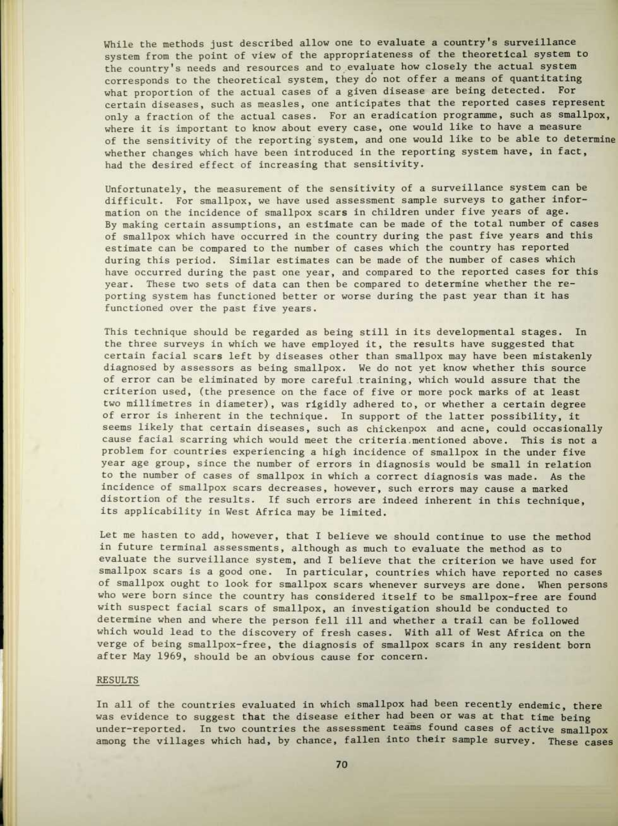While the methods just described allow one to evaluate a country's surveillance system from the point of view of the appropriateness of the theoretical system to the country's needs and resources and to evaluate how closely the actual system corresponds to the theoretical system, they do not offer a means of quantitating what proportion of the actual cases of a given disease are being detected. For certain diseases, such as measles, one anticipates that the reported cases represent only a fraction of the actual cases. For an eradication programme, such as smallpox, where it is important to know about every case, one would like to have a measure of the sensitivity of the reporting system, and one would like to be able to determine whether changes which have been introduced in the reporting system have, in fact, had the desired effect of increasing that sensitivity.

Unfortunately, the measurement of the sensitivity of a surveillance system can be difficult. For smallpox, we have used assessment sample surveys to gather information on the incidence of smallpox scars in children under five years of age. By making certain assumptions, an estimate can be made of the total number of cases of smallpox which have occurred in the country during the past five years and this estimate can be compared to the number of cases which the country has reported during this period. Similar estimates can be made of the number of cases which have occurred during the past one year, and compared to the reported cases for this year. These two sets of data can then be compared to determine whether the reporting system has functioned better or worse during the past year than it has functioned over the past five years.

This technique should be regarded as being still in its developmental stages. In the three surveys in which we have employed it, the results have suggested that certain facial scars left by diseases other than smallpox may have been mistakenly diagnosed by assessors as being smallpox. We do not yet know whether this source of error can be eliminated by more careful training, which would assure that the criterion used, (the presence on the face of five or more pock marks of at least two millimetres in diameter), was rigidly adhered to, or whether a certain degree of error is inherent in the technique. In support of the latter possibility, it seems likely that certain diseases, such as chickenpox and acne, could occasionally cause facial scarring which would meet the criteria mentioned above. This is not a problem for countries experiencing a high incidence of smallpox in the under five year age group, since the number of errors in diagnosis would be small in relation to the number of cases of smallpox in which a correct diagnosis was made . As the incidence of smallpox scars decreases, however, such errors may cause a marked distortion of the results. If such errors are indeed inherent in this technique, its applicability in West Africa may be limited.

Let me hasten to add, however, that I believe we should continue to use the method in future terminal assessments, although as much to evaluate the method as to evaluate the surveillance system, and I believe that the criterion we have used for smallpox scars is a good one. In particular, countries which have reported no cases of smallpox ought to look for smallpox scars whenever surveys are done. When persons who were born since the country has considered itself to be smallpox-free are found with suspect facial scars of smallpox, an investigation should be conducted to determine when and where the person fell ill and whether a trail can be followed which would lead to the discovery of fresh cases. With all of West Africa on the verge of being smallpox-free, the diagnosis of smallpox scars in any resident born after May 1969, should be an obvious cause for concern.

### RESULTS

In all of the countries evaluated in which smallpox had been recently endemic, there was evidence to suggest that the disease either had been or was at that time being under-reported. In two countries the assessment teams found cases of active smallpox among the villages which had, by chance, fallen into their sample survey. These cases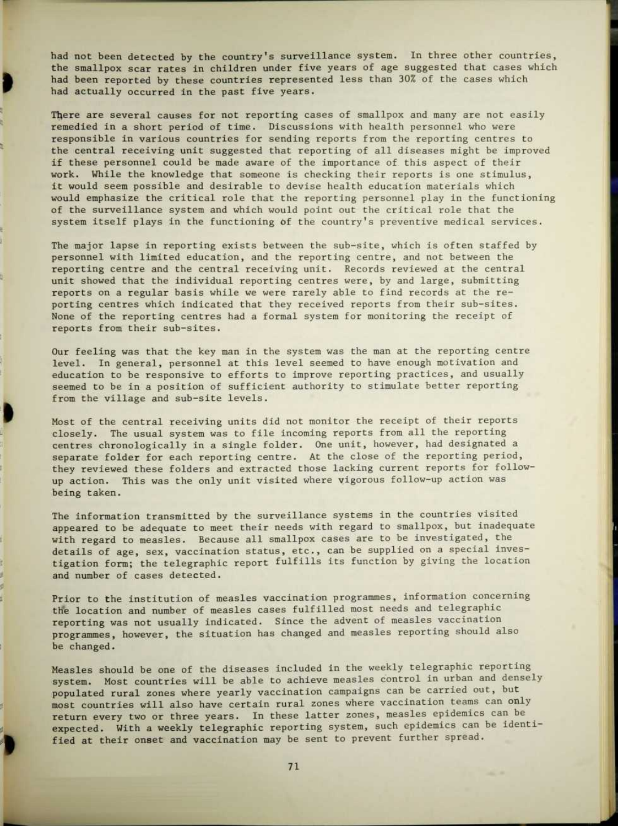had not been detected by the country's surveillance system. In three other countries, the smallpox scar rates in children under five years of age suggested that cases which had been reported by these countries represented less than 30% of the cases which had actually occurred in the past five years.

There are several causes for not reporting cases of smallpox and many are not easily remedied in a short period of time. Discussions with health personnel who were responsible in various countries for sending reports from the reporting centres to the central receiving unit suggested that reporting of all diseases might be improved if these personnel could be made aware of the importance of this aspect of their work. While the knowledge that someone is checking their reports is one stimulus, it would seem possible and desirable to devise health education materials which would emphasize the critical role that the reporting personnel play in the functioning of the surveillance system and which would point out the critical role that the system itself plays in the functioning of the country's preventive medical services.

í

ŧ,

£, ģ, ÿ. ø, J. The major lapse in reporting exists between the sub-site, which is often staffed by personnel with limited education, and the reporting centre, and not between the reporting centre and the central receiving unit . Records reviewed at the central unit showed that the individual reporting centres were, by and large, submitting reports on a regular basis while we were rarely able to find records at the reporting centres which indicated that they received reports from their sub-sites. None of the reporting centres had a formal system for monitoring the receipt of reports from their sub-sites.

Our feeling was that the key man in the system was the man at the reporting centre level. In general, personnel at this level seemed to have enough motivation and education to be responsive to efforts to improve reporting practices, and usually seemed to be in a position of sufficient authority to stimulate better reporting from the village and sub-site levels.

Most of the central receiving units did not monitor the receipt of their reports closely. The usual system was to file incoming reports from all the reporting centres chronologically in a single folder. One unit, however, had designated a separate folder for each reporting centre. At the close of the reporting period, they reviewed these folders and extracted those lacking current reports for followup action. This was the only unit visited where vigorous follow-up action was being taken.

The information transmitted by the surveillance systems in the countries visited appeared to be adequate to meet their needs with regard to smallpox, but inadequate with regard to measles. Because all smallpox cases are to be investigated, the details of age, sex, vaccination status, etc., can be supplied on a special investigation form; the telegraphic report fulfills its function by giving the location and number of cases detected.

Prior to the institution of measles vaccination programmes, information concerning the location and number of measles cases fulfilled most needs and telegraphic reporting was not usually indicated. Since the advent of measles vaccination programmes, however, the situation has changed and measles reporting should also be changed.

Measles should be one of the diseases included in the weekly telegraphic reporting system. Most countries will be able to achieve measles control in urban and densely populated rural zones where yearly vaccination campaigns can be carried out, but most countries will also have certain rural zones where vaccination teams can only return every two or three years. In these latter zones, measles epidemics can be expected. With a weekly telegraphic reporting system, such epidemics can be identified at their onset and vaccination may be sent to prevent further spread .